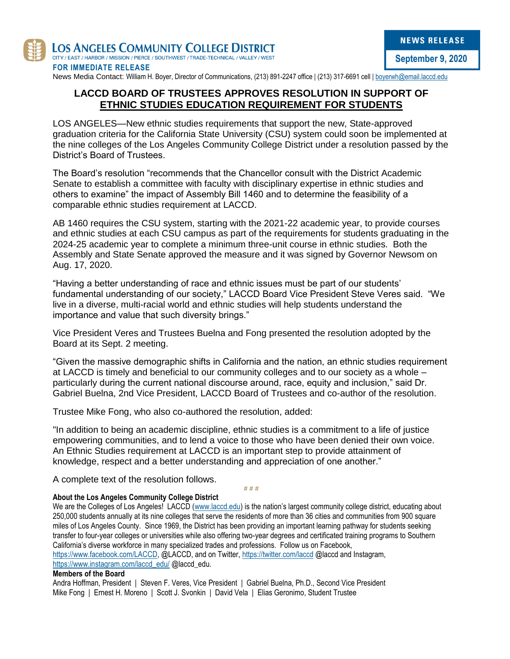

News Media Contact: William H. Boyer, Director of Communications, (213) 891-2247 office | (213) 317-6691 cell | [boyerwh@email.laccd.edu](mailto:boyerwh@email.laccd.edu)

## **LACCD BOARD OF TRUSTEES APPROVES RESOLUTION IN SUPPORT OF ETHNIC STUDIES EDUCATION REQUIREMENT FOR STUDENTS**

LOS ANGELES—New ethnic studies requirements that support the new, State-approved graduation criteria for the California State University (CSU) system could soon be implemented at the nine colleges of the Los Angeles Community College District under a resolution passed by the District's Board of Trustees.

The Board's resolution "recommends that the Chancellor consult with the District Academic Senate to establish a committee with faculty with disciplinary expertise in ethnic studies and others to examine" the impact of Assembly Bill 1460 and to determine the feasibility of a comparable ethnic studies requirement at LACCD.

AB 1460 requires the CSU system, starting with the 2021-22 academic year, to provide courses and ethnic studies at each CSU campus as part of the requirements for students graduating in the 2024-25 academic year to complete a minimum three-unit course in ethnic studies. Both the Assembly and State Senate approved the measure and it was signed by Governor Newsom on Aug. 17, 2020.

"Having a better understanding of race and ethnic issues must be part of our students' fundamental understanding of our society," LACCD Board Vice President Steve Veres said. "We live in a diverse, multi-racial world and ethnic studies will help students understand the importance and value that such diversity brings."

Vice President Veres and Trustees Buelna and Fong presented the resolution adopted by the Board at its Sept. 2 meeting.

"Given the massive demographic shifts in California and the nation, an ethnic studies requirement at LACCD is timely and beneficial to our community colleges and to our society as a whole – particularly during the current national discourse around, race, equity and inclusion," said Dr. Gabriel Buelna, 2nd Vice President, LACCD Board of Trustees and co-author of the resolution.

Trustee Mike Fong, who also co-authored the resolution, added:

"In addition to being an academic discipline, ethnic studies is a commitment to a life of justice empowering communities, and to lend a voice to those who have been denied their own voice. An Ethnic Studies requirement at LACCD is an important step to provide attainment of knowledge, respect and a better understanding and appreciation of one another."

A complete text of the resolution follows.

**# # #**

## **About the Los Angeles Community College District**

We are the Colleges of Los Angeles! LACCD [\(www.laccd.edu](http://www.laccd.edu/)) is the nation's largest community college district, educating about 250,000 students annually at its nine colleges that serve the residents of more than 36 cities and communities from 900 square miles of Los Angeles County. Since 1969, the District has been providing an important learning pathway for students seeking transfer to four-year colleges or universities while also offering two-year degrees and certificated training programs to Southern California's diverse workforce in many specialized trades and professions. Follow us on Facebook, [https://www.facebook.com/LACCD,](https://www.facebook.com/LACCD) @LACCD, and on Twitter,<https://twitter.com/laccd> @laccd and Instagram, [https://www.instagram.com/laccd\\_edu/](https://www.instagram.com/laccd_edu/) @laccd\_edu.

## **Members of the Board**

Andra Hoffman, President | Steven F. Veres, Vice President | Gabriel Buelna, Ph.D., Second Vice President Mike Fong | Ernest H. Moreno | Scott J. Svonkin | David Vela | Elias Geronimo, Student Trustee